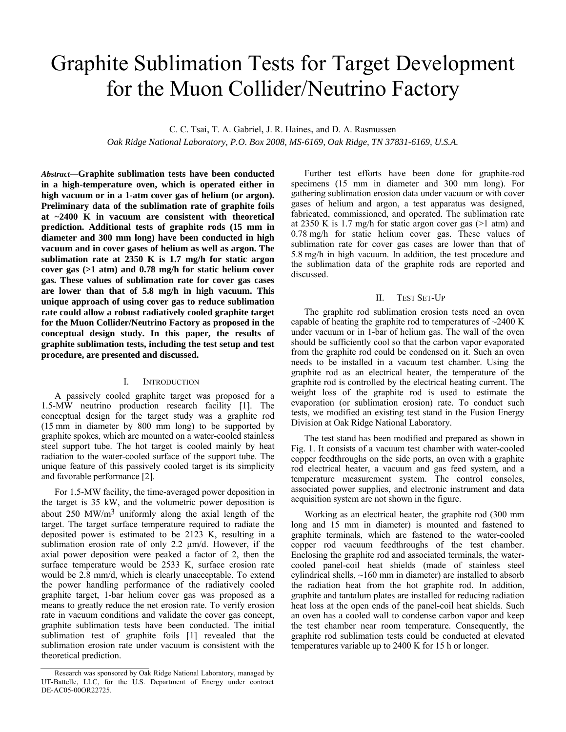# Graphite Sublimation Tests for Target Development for the Muon Collider/Neutrino Factory

C. C. Tsai, T. A. Gabriel, J. R. Haines, and D. A. Rasmussen

*Oak Ridge National Laboratory, P.O. Box 2008, MS-6169, Oak Ridge, TN 37831-6169, U.S.A.* 

*Abstract***—Graphite sublimation tests have been conducted in a high-temperature oven, which is operated either in high vacuum or in a 1-atm cover gas of helium (or argon). Preliminary data of the sublimation rate of graphite foils at ~2400 K in vacuum are consistent with theoretical prediction. Additional tests of graphite rods (15 mm in diameter and 300 mm long) have been conducted in high vacuum and in cover gases of helium as well as argon. The sublimation rate at 2350 K is 1.7 mg/h for static argon cover gas (>1 atm) and 0.78 mg/h for static helium cover gas. These values of sublimation rate for cover gas cases are lower than that of 5.8 mg/h in high vacuum. This unique approach of using cover gas to reduce sublimation rate could allow a robust radiatively cooled graphite target for the Muon Collider/Neutrino Factory as proposed in the conceptual design study. In this paper, the results of graphite sublimation tests, including the test setup and test procedure, are presented and discussed.**

# I. INTRODUCTION

A passively cooled graphite target was proposed for a 1.5-MW neutrino production research facility [1]. The conceptual design for the target study was a graphite rod (15 mm in diameter by 800 mm long) to be supported by graphite spokes, which are mounted on a water-cooled stainless steel support tube. The hot target is cooled mainly by heat radiation to the water-cooled surface of the support tube. The unique feature of this passively cooled target is its simplicity and favorable performance [2].

For 1.5-MW facility, the time-averaged power deposition in the target is 35 kW, and the volumetric power deposition is about 250 MW/ $m<sup>3</sup>$  uniformly along the axial length of the target. The target surface temperature required to radiate the deposited power is estimated to be 2123 K, resulting in a sublimation erosion rate of only 2.2 μm/d. However, if the axial power deposition were peaked a factor of 2, then the surface temperature would be 2533 K, surface erosion rate would be 2.8 mm/d, which is clearly unacceptable. To extend the power handling performance of the radiatively cooled graphite target, 1-bar helium cover gas was proposed as a means to greatly reduce the net erosion rate. To verify erosion rate in vacuum conditions and validate the cover gas concept, graphite sublimation tests have been conducted. The initial sublimation test of graphite foils [1] revealed that the sublimation erosion rate under vacuum is consistent with the theoretical prediction.

Further test efforts have been done for graphite-rod specimens (15 mm in diameter and 300 mm long). For gathering sublimation erosion data under vacuum or with cover gases of helium and argon, a test apparatus was designed, fabricated, commissioned, and operated. The sublimation rate at 2350 K is 1.7 mg/h for static argon cover gas  $(>1$  atm) and 0.78 mg/h for static helium cover gas. These values of sublimation rate for cover gas cases are lower than that of 5.8 mg/h in high vacuum. In addition, the test procedure and the sublimation data of the graphite rods are reported and discussed.

#### II. TEST SET-UP

The graphite rod sublimation erosion tests need an oven capable of heating the graphite rod to temperatures of  $\sim$ 2400 K under vacuum or in 1-bar of helium gas. The wall of the oven should be sufficiently cool so that the carbon vapor evaporated from the graphite rod could be condensed on it. Such an oven needs to be installed in a vacuum test chamber. Using the graphite rod as an electrical heater, the temperature of the graphite rod is controlled by the electrical heating current. The weight loss of the graphite rod is used to estimate the evaporation (or sublimation erosion) rate. To conduct such tests, we modified an existing test stand in the Fusion Energy Division at Oak Ridge National Laboratory.

The test stand has been modified and prepared as shown in Fig. 1. It consists of a vacuum test chamber with water-cooled copper feedthroughs on the side ports, an oven with a graphite rod electrical heater, a vacuum and gas feed system, and a temperature measurement system. The control consoles, associated power supplies, and electronic instrument and data acquisition system are not shown in the figure.

Working as an electrical heater, the graphite rod (300 mm long and 15 mm in diameter) is mounted and fastened to graphite terminals, which are fastened to the water-cooled copper rod vacuum feedthroughs of the test chamber. Enclosing the graphite rod and associated terminals, the watercooled panel-coil heat shields (made of stainless steel cylindrical shells, ~160 mm in diameter) are installed to absorb the radiation heat from the hot graphite rod. In addition, graphite and tantalum plates are installed for reducing radiation heat loss at the open ends of the panel-coil heat shields. Such an oven has a cooled wall to condense carbon vapor and keep the test chamber near room temperature. Consequently, the graphite rod sublimation tests could be conducted at elevated temperatures variable up to 2400 K for 15 h or longer.

Research was sponsored by Oak Ridge National Laboratory, managed by UT-Battelle, LLC, for the U.S. Department of Energy under contract DE-AC05-00OR22725.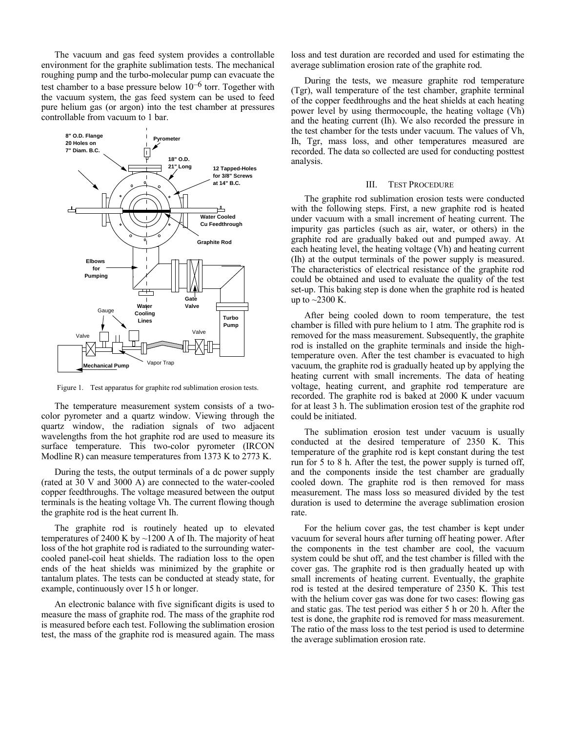The vacuum and gas feed system provides a controllable environment for the graphite sublimation tests. The mechanical roughing pump and the turbo-molecular pump can evacuate the test chamber to a base pressure below  $10^{-6}$  torr. Together with the vacuum system, the gas feed system can be used to feed pure helium gas (or argon) into the test chamber at pressures controllable from vacuum to 1 bar.



Figure 1. Test apparatus for graphite rod sublimation erosion tests.

The temperature measurement system consists of a twocolor pyrometer and a quartz window. Viewing through the quartz window, the radiation signals of two adjacent wavelengths from the hot graphite rod are used to measure its surface temperature. This two-color pyrometer (IRCON Modline R) can measure temperatures from 1373 K to 2773 K.

During the tests, the output terminals of a dc power supply (rated at 30 V and 3000 A) are connected to the water-cooled copper feedthroughs. The voltage measured between the output terminals is the heating voltage Vh. The current flowing though the graphite rod is the heat current Ih.

The graphite rod is routinely heated up to elevated temperatures of 2400 K by  $\sim$ 1200 A of Ih. The majority of heat loss of the hot graphite rod is radiated to the surrounding watercooled panel-coil heat shields. The radiation loss to the open ends of the heat shields was minimized by the graphite or tantalum plates. The tests can be conducted at steady state, for example, continuously over 15 h or longer.

An electronic balance with five significant digits is used to measure the mass of graphite rod. The mass of the graphite rod is measured before each test. Following the sublimation erosion test, the mass of the graphite rod is measured again. The mass loss and test duration are recorded and used for estimating the average sublimation erosion rate of the graphite rod.

During the tests, we measure graphite rod temperature (Tgr), wall temperature of the test chamber, graphite terminal of the copper feedthroughs and the heat shields at each heating power level by using thermocouple, the heating voltage (Vh) and the heating current (Ih). We also recorded the pressure in the test chamber for the tests under vacuum. The values of Vh, Ih, Tgr, mass loss, and other temperatures measured are recorded. The data so collected are used for conducting posttest analysis.

#### III. TEST PROCEDURE

The graphite rod sublimation erosion tests were conducted with the following steps. First, a new graphite rod is heated under vacuum with a small increment of heating current. The impurity gas particles (such as air, water, or others) in the graphite rod are gradually baked out and pumped away. At each heating level, the heating voltage (Vh) and heating current (Ih) at the output terminals of the power supply is measured. The characteristics of electrical resistance of the graphite rod could be obtained and used to evaluate the quality of the test set-up. This baking step is done when the graphite rod is heated up to  $\sim$ 2300 K.

After being cooled down to room temperature, the test chamber is filled with pure helium to 1 atm. The graphite rod is removed for the mass measurement. Subsequently, the graphite rod is installed on the graphite terminals and inside the hightemperature oven. After the test chamber is evacuated to high vacuum, the graphite rod is gradually heated up by applying the heating current with small increments. The data of heating voltage, heating current, and graphite rod temperature are recorded. The graphite rod is baked at 2000 K under vacuum for at least 3 h. The sublimation erosion test of the graphite rod could be initiated.

The sublimation erosion test under vacuum is usually conducted at the desired temperature of 2350 K. This temperature of the graphite rod is kept constant during the test run for 5 to 8 h. After the test, the power supply is turned off, and the components inside the test chamber are gradually cooled down. The graphite rod is then removed for mass measurement. The mass loss so measured divided by the test duration is used to determine the average sublimation erosion rate.

For the helium cover gas, the test chamber is kept under vacuum for several hours after turning off heating power. After the components in the test chamber are cool, the vacuum system could be shut off, and the test chamber is filled with the cover gas. The graphite rod is then gradually heated up with small increments of heating current. Eventually, the graphite rod is tested at the desired temperature of 2350 K. This test with the helium cover gas was done for two cases: flowing gas and static gas. The test period was either 5 h or 20 h. After the test is done, the graphite rod is removed for mass measurement. The ratio of the mass loss to the test period is used to determine the average sublimation erosion rate.